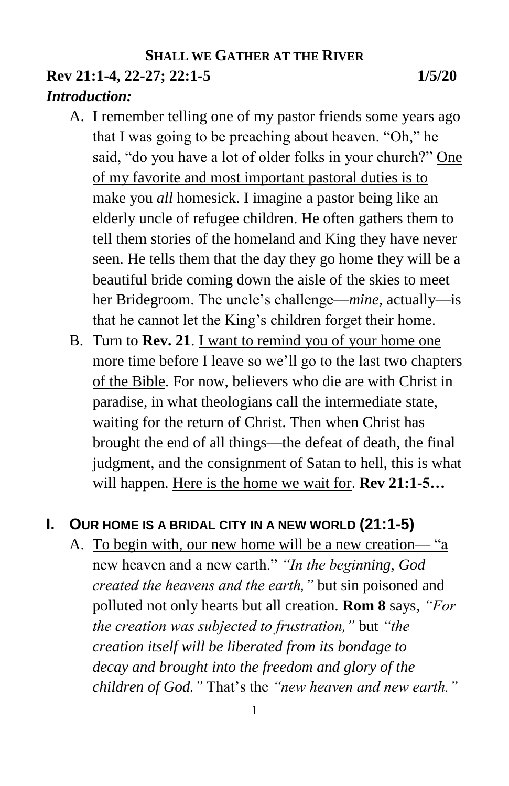## **SHALL WE GATHER AT THE RIVER Rev 21:1-4, 22-27; 22:1-5 1/5/20**

# *Introduction:*

- A. I remember telling one of my pastor friends some years ago that I was going to be preaching about heaven. "Oh," he said, "do you have a lot of older folks in your church?" One of my favorite and most important pastoral duties is to make you *all* homesick. I imagine a pastor being like an elderly uncle of refugee children. He often gathers them to tell them stories of the homeland and King they have never seen. He tells them that the day they go home they will be a beautiful bride coming down the aisle of the skies to meet her Bridegroom. The uncle's challenge—*mine,* actually—is that he cannot let the King's children forget their home.
- B. Turn to **Rev. 21**. I want to remind you of your home one more time before I leave so we'll go to the last two chapters of the Bible. For now, believers who die are with Christ in paradise, in what theologians call the intermediate state, waiting for the return of Christ. Then when Christ has brought the end of all things—the defeat of death, the final judgment, and the consignment of Satan to hell, this is what will happen. Here is the home we wait for. **Rev 21:1-5…**

## **I. OUR HOME IS A BRIDAL CITY IN A NEW WORLD (21:1-5)**

A. To begin with, our new home will be a new creation— "a new heaven and a new earth." *"In the beginning, God created the heavens and the earth,"* but sin poisoned and polluted not only hearts but all creation. **Rom 8** says, *"For the creation was subjected to frustration,"* but *"the creation itself will be liberated from its bondage to decay and brought into the freedom and glory of the children of God."* That's the *"new heaven and new earth."*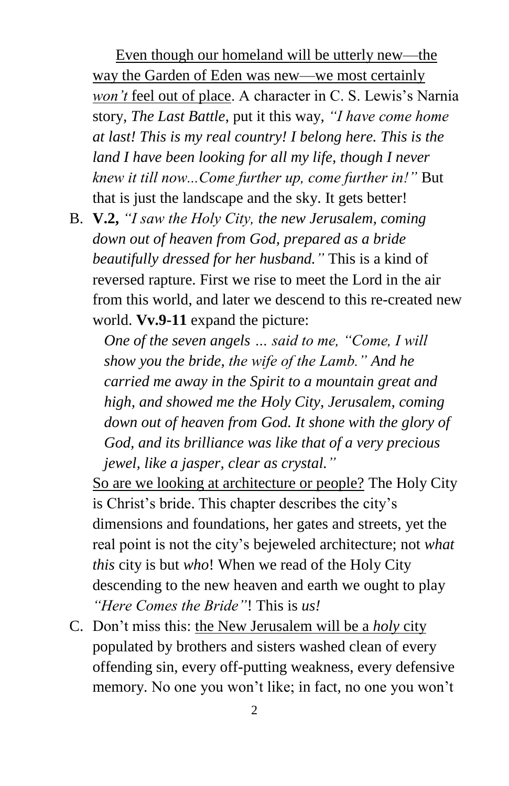Even though our homeland will be utterly new—the way the Garden of Eden was new—we most certainly *won't* feel out of place. A character in C. S. Lewis's Narnia story, *The Last Battle*, put it this way, *"I have come home at last! This is my real country! I belong here. This is the land I have been looking for all my life, though I never knew it till now...Come further up, come further in!"* But that is just the landscape and the sky. It gets better!

B. **V.2,** *"I saw the Holy City, the new Jerusalem, coming down out of heaven from God, prepared as a bride beautifully dressed for her husband."* This is a kind of reversed rapture. First we rise to meet the Lord in the air from this world, and later we descend to this re-created new world. **Vv.9-11** expand the picture:

*One of the seven angels … said to me, "Come, I will show you the bride, the wife of the Lamb." And he carried me away in the Spirit to a mountain great and high, and showed me the Holy City, Jerusalem, coming down out of heaven from God. It shone with the glory of God, and its brilliance was like that of a very precious jewel, like a jasper, clear as crystal."*

So are we looking at architecture or people? The Holy City is Christ's bride. This chapter describes the city's dimensions and foundations, her gates and streets, yet the real point is not the city's bejeweled architecture; not *what this* city is but *who*! When we read of the Holy City descending to the new heaven and earth we ought to play *"Here Comes the Bride"*! This is *us!*

C. Don't miss this: the New Jerusalem will be a *holy* city populated by brothers and sisters washed clean of every offending sin, every off-putting weakness, every defensive memory. No one you won't like; in fact, no one you won't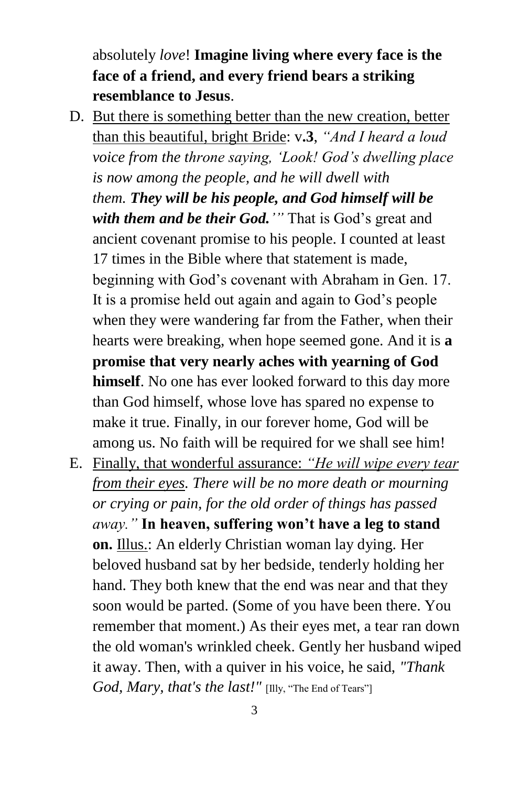absolutely *love*! **Imagine living where every face is the face of a friend, and every friend bears a striking resemblance to Jesus**.

- D. But there is something better than the new creation, better than this beautiful, bright Bride: v**.3**, *"And I heard a loud voice from the throne saying, 'Look! God's dwelling place is now among the people, and he will dwell with them. They will be his people, and God himself will be with them and be their God.'"* That is God's great and ancient covenant promise to his people. I counted at least 17 times in the Bible where that statement is made, beginning with God's covenant with Abraham in Gen. 17. It is a promise held out again and again to God's people when they were wandering far from the Father, when their hearts were breaking, when hope seemed gone. And it is **a promise that very nearly aches with yearning of God himself**. No one has ever looked forward to this day more than God himself, whose love has spared no expense to make it true. Finally, in our forever home, God will be among us. No faith will be required for we shall see him!
- E. Finally, that wonderful assurance: *"He will wipe every tear from their eyes. There will be no more death or mourning or crying or pain, for the old order of things has passed away."* **In heaven, suffering won't have a leg to stand on.** Illus.: An elderly Christian woman lay dying. Her beloved husband sat by her bedside, tenderly holding her hand. They both knew that the end was near and that they soon would be parted. (Some of you have been there. You remember that moment.) As their eyes met, a tear ran down the old woman's wrinkled cheek. Gently her husband wiped it away. Then, with a quiver in his voice, he said, *"Thank God, Mary, that's the last!"* [Illy, "The End of Tears"]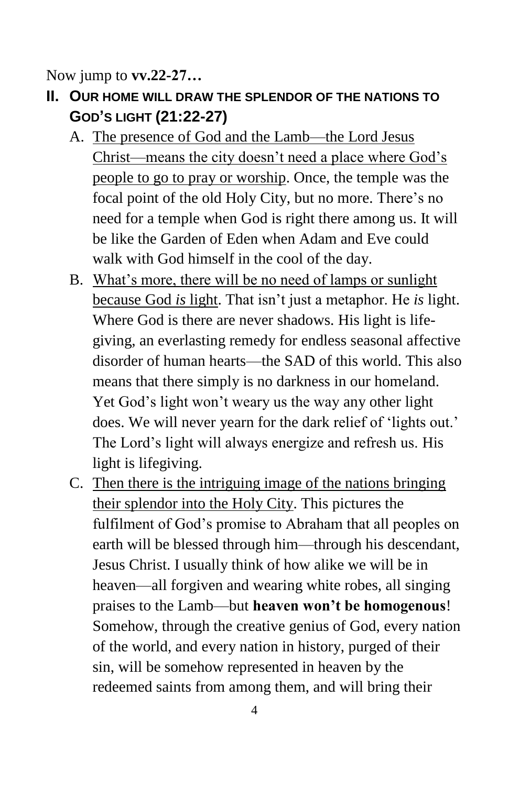Now jump to **vv.22-27…**

- **II. OUR HOME WILL DRAW THE SPLENDOR OF THE NATIONS TO GOD'S LIGHT (21:22-27)**
	- A. The presence of God and the Lamb—the Lord Jesus Christ—means the city doesn't need a place where God's people to go to pray or worship. Once, the temple was the focal point of the old Holy City, but no more. There's no need for a temple when God is right there among us. It will be like the Garden of Eden when Adam and Eve could walk with God himself in the cool of the day.
	- B. What's more, there will be no need of lamps or sunlight because God *is* light. That isn't just a metaphor. He *is* light. Where God is there are never shadows. His light is lifegiving, an everlasting remedy for endless seasonal affective disorder of human hearts—the SAD of this world. This also means that there simply is no darkness in our homeland. Yet God's light won't weary us the way any other light does. We will never yearn for the dark relief of 'lights out.' The Lord's light will always energize and refresh us. His light is lifegiving.
	- C. Then there is the intriguing image of the nations bringing their splendor into the Holy City. This pictures the fulfilment of God's promise to Abraham that all peoples on earth will be blessed through him—through his descendant, Jesus Christ. I usually think of how alike we will be in heaven—all forgiven and wearing white robes, all singing praises to the Lamb—but **heaven won't be homogenous**! Somehow, through the creative genius of God, every nation of the world, and every nation in history, purged of their sin, will be somehow represented in heaven by the redeemed saints from among them, and will bring their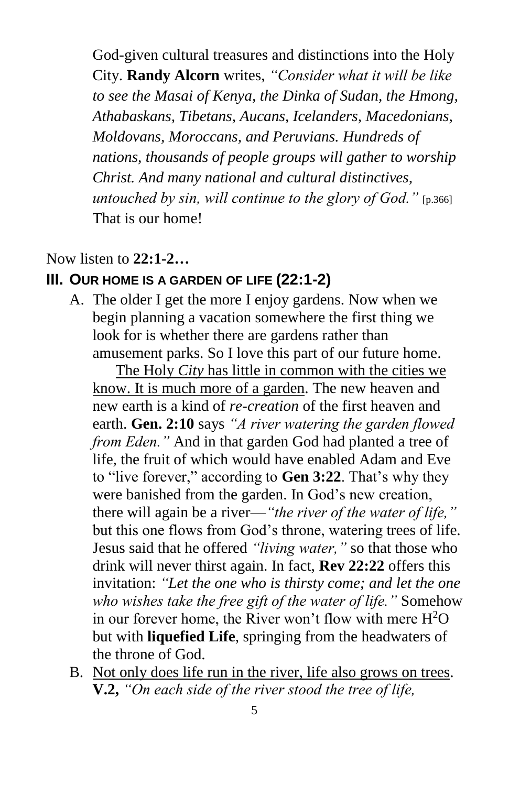God-given cultural treasures and distinctions into the Holy City. **Randy Alcorn** writes, *"Consider what it will be like to see the Masai of Kenya, the Dinka of Sudan, the Hmong, Athabaskans, Tibetans, Aucans, Icelanders, Macedonians, Moldovans, Moroccans, and Peruvians. Hundreds of nations, thousands of people groups will gather to worship Christ. And many national and cultural distinctives, untouched by sin, will continue to the glory of God.*" [p.366] That is our home!

#### Now listen to **22:1-2…**

#### **III. OUR HOME IS A GARDEN OF LIFE (22:1-2)**

A. The older I get the more I enjoy gardens. Now when we begin planning a vacation somewhere the first thing we look for is whether there are gardens rather than amusement parks. So I love this part of our future home.

The Holy *City* has little in common with the cities we know. It is much more of a garden. The new heaven and new earth is a kind of *re-creation* of the first heaven and earth. **Gen. 2:10** says *"A river watering the garden flowed from Eden."* And in that garden God had planted a tree of life, the fruit of which would have enabled Adam and Eve to "live forever," according to **Gen 3:22**. That's why they were banished from the garden. In God's new creation, there will again be a river—*"the river of the water of life,"* but this one flows from God's throne, watering trees of life. Jesus said that he offered *"living water,"* so that those who drink will never thirst again. In fact, **Rev 22:22** offers this invitation: *"Let the one who is thirsty come; and let the one who wishes take the free gift of the water of life."* Somehow in our forever home, the River won't flow with mere  $H^2O$ but with **liquefied Life**, springing from the headwaters of the throne of God.

B. Not only does life run in the river, life also grows on trees. **V.2,** *"On each side of the river stood the tree of life,*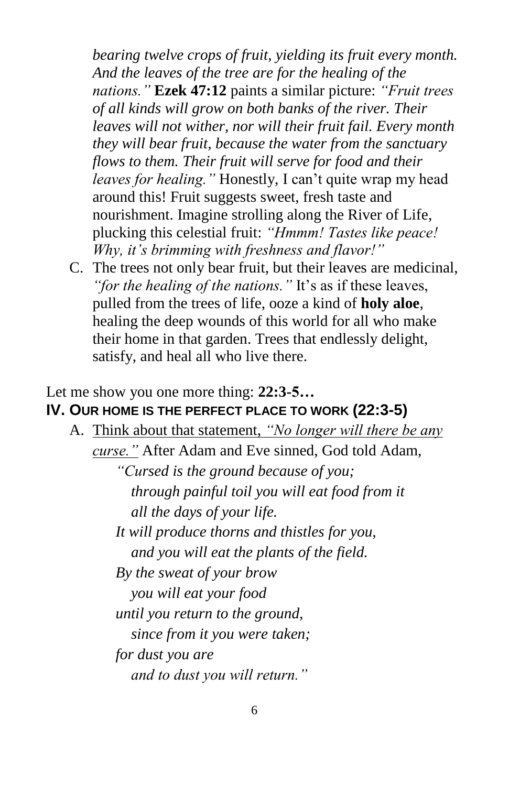*bearing twelve crops of fruit, yielding its fruit every month. And the leaves of the tree are for the healing of the nations."* **Ezek 47:12** paints a similar picture: *"Fruit trees of all kinds will grow on both banks of the river. Their leaves will not wither, nor will their fruit fail. Every month they will bear fruit, because the water from the sanctuary flows to them. Their fruit will serve for food and their leaves for healing."* Honestly, I can't quite wrap my head around this! Fruit suggests sweet, fresh taste and nourishment. Imagine strolling along the River of Life, plucking this celestial fruit: *"Hmmm! Tastes like peace! Why, it's brimming with freshness and flavor!"*

C. The trees not only bear fruit, but their leaves are medicinal, *"for the healing of the nations."* It's as if these leaves, pulled from the trees of life, ooze a kind of **holy aloe**, healing the deep wounds of this world for all who make their home in that garden. Trees that endlessly delight, satisfy, and heal all who live there.

## Let me show you one more thing: **22:3-5…**

# **IV. OUR HOME IS THE PERFECT PLACE TO WORK (22:3-5)**

A. Think about that statement, *"No longer will there be any curse."* After Adam and Eve sinned, God told Adam, *"Cursed is the ground because of you; through painful toil you will eat food from it all the days of your life. It will produce thorns and thistles for you, and you will eat the plants of the field. By the sweat of your brow you will eat your food until you return to the ground, since from it you were taken; for dust you are and to dust you will return."*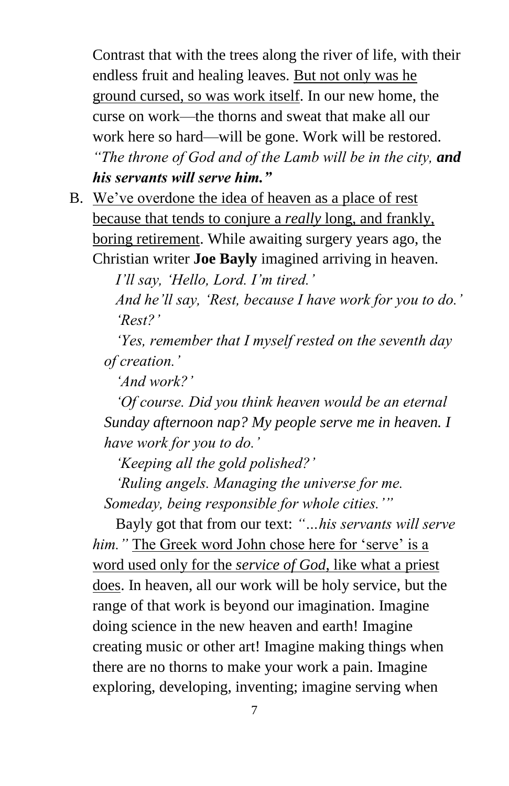Contrast that with the trees along the river of life, with their endless fruit and healing leaves. But not only was he ground cursed, so was work itself. In our new home, the curse on work—the thorns and sweat that make all our work here so hard—will be gone. Work will be restored. *"The throne of God and of the Lamb will be in the city, and his servants will serve him."*

B. We've overdone the idea of heaven as a place of rest because that tends to conjure a *really* long, and frankly, boring retirement. While awaiting surgery years ago, the Christian writer **Joe Bayly** imagined arriving in heaven.

*I'll say, 'Hello, Lord. I'm tired.'* 

*And he'll say, 'Rest, because I have work for you to do.' 'Rest?'* 

*'Yes, remember that I myself rested on the seventh day of creation.'* 

*'And work?'* 

*'Of course. Did you think heaven would be an eternal Sunday afternoon nap? My people serve me in heaven. I have work for you to do.'* 

*'Keeping all the gold polished?'* 

*'Ruling angels. Managing the universe for me. Someday, being responsible for whole cities.'"*

Bayly got that from our text: *"…his servants will serve him."* The Greek word John chose here for 'serve' is a word used only for the *service of God*, like what a priest does. In heaven, all our work will be holy service, but the range of that work is beyond our imagination. Imagine doing science in the new heaven and earth! Imagine creating music or other art! Imagine making things when there are no thorns to make your work a pain. Imagine exploring, developing, inventing; imagine serving when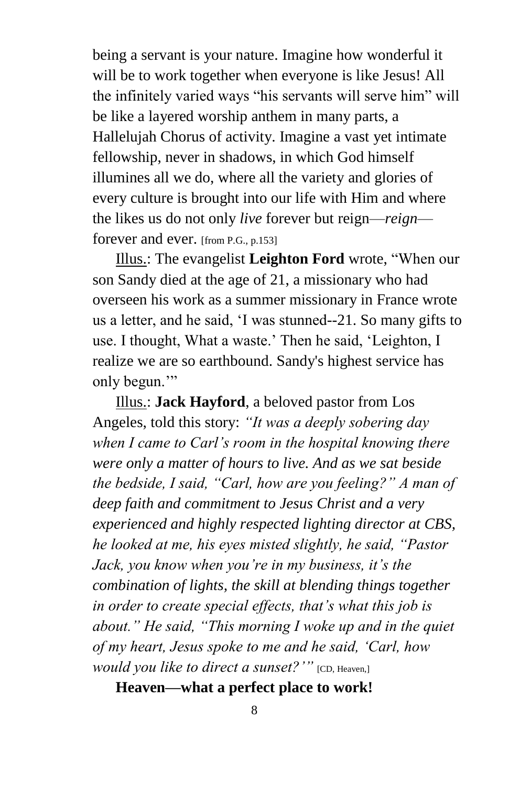being a servant is your nature. Imagine how wonderful it will be to work together when everyone is like Jesus! All the infinitely varied ways "his servants will serve him" will be like a layered worship anthem in many parts, a Hallelujah Chorus of activity. Imagine a vast yet intimate fellowship, never in shadows, in which God himself illumines all we do, where all the variety and glories of every culture is brought into our life with Him and where the likes us do not only *live* forever but reign—*reign* forever and ever. [from P.G., p.153]

Illus.: The evangelist **Leighton Ford** wrote, "When our son Sandy died at the age of 21, a missionary who had overseen his work as a summer missionary in France wrote us a letter, and he said, 'I was stunned--21. So many gifts to use. I thought, What a waste.' Then he said, 'Leighton, I realize we are so earthbound. Sandy's highest service has only begun."

Illus.: **Jack Hayford**, a beloved pastor from Los Angeles, told this story: *"It was a deeply sobering day when I came to Carl's room in the hospital knowing there were only a matter of hours to live. And as we sat beside the bedside, I said, "Carl, how are you feeling?" A man of deep faith and commitment to Jesus Christ and a very experienced and highly respected lighting director at CBS, he looked at me, his eyes misted slightly, he said, "Pastor Jack, you know when you're in my business, it's the combination of lights, the skill at blending things together in order to create special effects, that's what this job is about." He said, "This morning I woke up and in the quiet of my heart, Jesus spoke to me and he said, 'Carl, how would you like to direct a sunset?*'" [CD, Heaven,]

**Heaven—what a perfect place to work!**